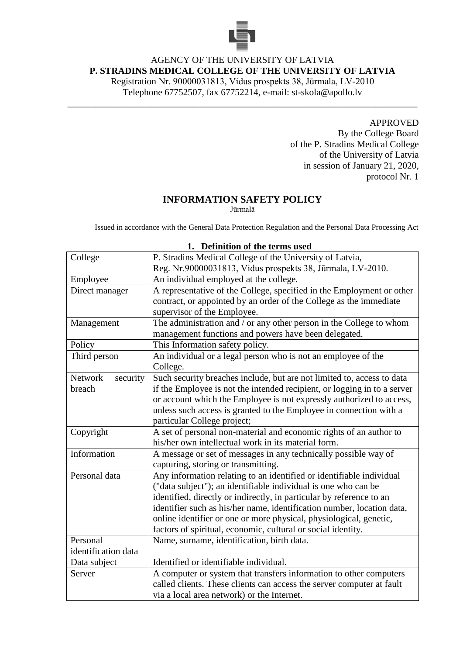

# AGENCY OF THE UNIVERSITY OF LATVIA **P. STRADINS MEDICAL COLLEGE OF THE UNIVERSITY OF LATVIA**

Registration Nr. 90000031813, Vidus prospekts 38, Jūrmala, LV-2010 Telephone 67752507, fax 67752214, e-mail: st-skola@apollo.lv

\_\_\_\_\_\_\_\_\_\_\_\_\_\_\_\_\_\_\_\_\_\_\_\_\_\_\_\_\_\_\_\_\_\_\_\_\_\_\_\_\_\_\_\_\_\_\_\_\_\_\_\_\_\_\_\_\_\_\_\_\_\_\_\_\_\_\_\_\_\_\_\_\_\_\_

#### APPROVED

By the College Board of the P. Stradins Medical College of the University of Latvia in session of January 21, 2020, protocol Nr. 1

### **INFORMATION SAFETY POLICY**

Jūrmalā

Issued in accordance with the General Data Protection Regulation and the Personal Data Processing Act

|                            | <b>Deminion</b> of the terms used                                        |  |  |
|----------------------------|--------------------------------------------------------------------------|--|--|
| College                    | P. Stradins Medical College of the University of Latvia,                 |  |  |
|                            | Reg. Nr.90000031813, Vidus prospekts 38, Jūrmala, LV-2010.               |  |  |
| Employee                   | An individual employed at the college.                                   |  |  |
| Direct manager             | A representative of the College, specified in the Employment or other    |  |  |
|                            | contract, or appointed by an order of the College as the immediate       |  |  |
|                            | supervisor of the Employee.                                              |  |  |
| Management                 | The administration and / or any other person in the College to whom      |  |  |
|                            | management functions and powers have been delegated.                     |  |  |
| Policy                     | This Information safety policy.                                          |  |  |
| Third person               | An individual or a legal person who is not an employee of the            |  |  |
|                            | College.                                                                 |  |  |
| <b>Network</b><br>security | Such security breaches include, but are not limited to, access to data   |  |  |
| breach                     | if the Employee is not the intended recipient, or logging in to a server |  |  |
|                            | or account which the Employee is not expressly authorized to access,     |  |  |
|                            | unless such access is granted to the Employee in connection with a       |  |  |
|                            | particular College project;                                              |  |  |
| Copyright                  | A set of personal non-material and economic rights of an author to       |  |  |
|                            | his/her own intellectual work in its material form.                      |  |  |
| Information                | A message or set of messages in any technically possible way of          |  |  |
|                            | capturing, storing or transmitting.                                      |  |  |
| Personal data              | Any information relating to an identified or identifiable individual     |  |  |
|                            | ("data subject"); an identifiable individual is one who can be           |  |  |
|                            | identified, directly or indirectly, in particular by reference to an     |  |  |
|                            | identifier such as his/her name, identification number, location data,   |  |  |
|                            | online identifier or one or more physical, physiological, genetic,       |  |  |
|                            | factors of spiritual, economic, cultural or social identity.             |  |  |
| Personal                   | Name, surname, identification, birth data.                               |  |  |
| identification data        |                                                                          |  |  |
| Data subject               | Identified or identifiable individual.                                   |  |  |
| Server                     | A computer or system that transfers information to other computers       |  |  |
|                            | called clients. These clients can access the server computer at fault    |  |  |
|                            | via a local area network) or the Internet.                               |  |  |

#### **1. Definition of the terms used**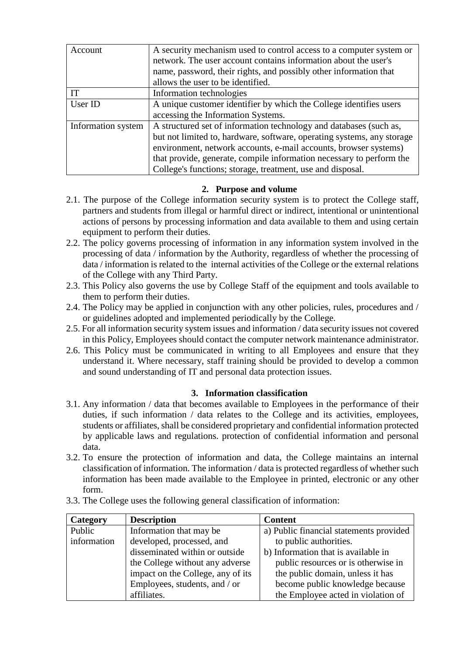| Account            | A security mechanism used to control access to a computer system or<br>network. The user account contains information about the user's |  |  |
|--------------------|----------------------------------------------------------------------------------------------------------------------------------------|--|--|
|                    | name, password, their rights, and possibly other information that                                                                      |  |  |
|                    | allows the user to be identified.                                                                                                      |  |  |
| IТ                 | Information technologies                                                                                                               |  |  |
| User ID            | A unique customer identifier by which the College identifies users                                                                     |  |  |
|                    | accessing the Information Systems.                                                                                                     |  |  |
| Information system | A structured set of information technology and databases (such as,                                                                     |  |  |
|                    | but not limited to, hardware, software, operating systems, any storage                                                                 |  |  |
|                    | environment, network accounts, e-mail accounts, browser systems)                                                                       |  |  |
|                    | that provide, generate, compile information necessary to perform the                                                                   |  |  |
|                    | College's functions; storage, treatment, use and disposal.                                                                             |  |  |

## **2. Purpose and volume**

- 2.1. The purpose of the College information security system is to protect the College staff, partners and students from illegal or harmful direct or indirect, intentional or unintentional actions of persons by processing information and data available to them and using certain equipment to perform their duties.
- 2.2. The policy governs processing of information in any information system involved in the processing of data / information by the Authority, regardless of whether the processing of data / information is related to the internal activities of the College or the external relations of the College with any Third Party.
- 2.3. This Policy also governs the use by College Staff of the equipment and tools available to them to perform their duties.
- 2.4. The Policy may be applied in conjunction with any other policies, rules, procedures and / or guidelines adopted and implemented periodically by the College.
- 2.5. For all information security system issues and information / data security issues not covered in this Policy, Employees should contact the computer network maintenance administrator.
- 2.6. This Policy must be communicated in writing to all Employees and ensure that they understand it. Where necessary, staff training should be provided to develop a common and sound understanding of IT and personal data protection issues.

## **3. Information classification**

- 3.1. Any information / data that becomes available to Employees in the performance of their duties, if such information / data relates to the College and its activities, employees, students or affiliates, shall be considered proprietary and confidential information protected by applicable laws and regulations. protection of confidential information and personal data.
- 3.2. To ensure the protection of information and data, the College maintains an internal classification of information. The information / data is protected regardless of whether such information has been made available to the Employee in printed, electronic or any other form.
- 3.3. The College uses the following general classification of information:

| <b>Category</b> | <b>Description</b>                | <b>Content</b>                          |
|-----------------|-----------------------------------|-----------------------------------------|
| Public          | Information that may be           | a) Public financial statements provided |
| information     | developed, processed, and         | to public authorities.                  |
|                 | disseminated within or outside    | b) Information that is available in     |
|                 | the College without any adverse   | public resources or is otherwise in     |
|                 | impact on the College, any of its | the public domain, unless it has        |
|                 | Employees, students, and / or     | become public knowledge because         |
|                 | affiliates.                       | the Employee acted in violation of      |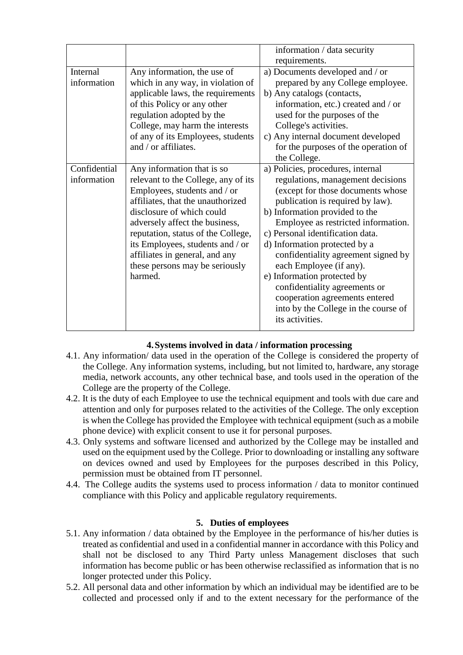|              |                                     | information / data security          |
|--------------|-------------------------------------|--------------------------------------|
|              |                                     | requirements.                        |
| Internal     | Any information, the use of         | a) Documents developed and / or      |
| information  | which in any way, in violation of   | prepared by any College employee.    |
|              | applicable laws, the requirements   | b) Any catalogs (contacts,           |
|              | of this Policy or any other         | information, etc.) created and / or  |
|              | regulation adopted by the           | used for the purposes of the         |
|              | College, may harm the interests     | College's activities.                |
|              | of any of its Employees, students   | c) Any internal document developed   |
|              | and / or affiliates.                | for the purposes of the operation of |
|              |                                     | the College.                         |
| Confidential | Any information that is so          | a) Policies, procedures, internal    |
| information  | relevant to the College, any of its | regulations, management decisions    |
|              | Employees, students and / or        | (except for those documents whose    |
|              | affiliates, that the unauthorized   | publication is required by law).     |
|              | disclosure of which could           | b) Information provided to the       |
|              | adversely affect the business,      | Employee as restricted information.  |
|              | reputation, status of the College,  | c) Personal identification data.     |
|              | its Employees, students and / or    | d) Information protected by a        |
|              | affiliates in general, and any      | confidentiality agreement signed by  |
|              | these persons may be seriously      | each Employee (if any).              |
|              | harmed.                             | e) Information protected by          |
|              |                                     | confidentiality agreements or        |
|              |                                     | cooperation agreements entered       |
|              |                                     | into by the College in the course of |
|              |                                     | its activities.                      |
|              |                                     |                                      |

# **4.Systems involved in data / information processing**

- 4.1. Any information/ data used in the operation of the College is considered the property of the College. Any information systems, including, but not limited to, hardware, any storage media, network accounts, any other technical base, and tools used in the operation of the College are the property of the College.
- 4.2. It is the duty of each Employee to use the technical equipment and tools with due care and attention and only for purposes related to the activities of the College. The only exception is when the College has provided the Employee with technical equipment (such as a mobile phone device) with explicit consent to use it for personal purposes.
- 4.3. Only systems and software licensed and authorized by the College may be installed and used on the equipment used by the College. Prior to downloading or installing any software on devices owned and used by Employees for the purposes described in this Policy, permission must be obtained from IT personnel.
- 4.4. The College audits the systems used to process information / data to monitor continued compliance with this Policy and applicable regulatory requirements.

## **5. Duties of employees**

- 5.1. Any information / data obtained by the Employee in the performance of his/her duties is treated as confidential and used in a confidential manner in accordance with this Policy and shall not be disclosed to any Third Party unless Management discloses that such information has become public or has been otherwise reclassified as information that is no longer protected under this Policy.
- 5.2. All personal data and other information by which an individual may be identified are to be collected and processed only if and to the extent necessary for the performance of the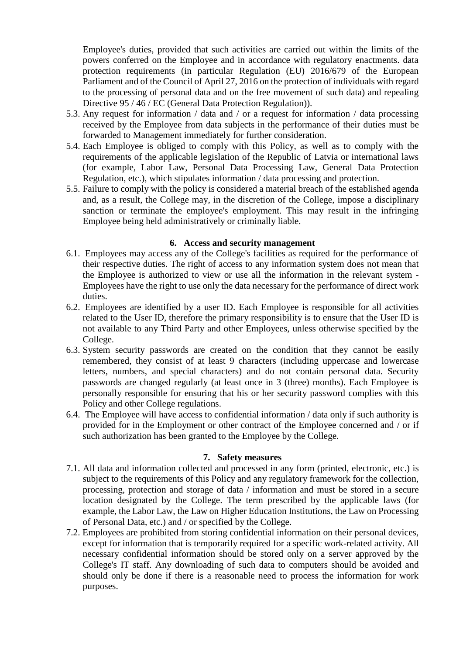Employee's duties, provided that such activities are carried out within the limits of the powers conferred on the Employee and in accordance with regulatory enactments. data protection requirements (in particular Regulation (EU) 2016/679 of the European Parliament and of the Council of April 27, 2016 on the protection of individuals with regard to the processing of personal data and on the free movement of such data) and repealing Directive 95 / 46 / EC (General Data Protection Regulation)).

- 5.3. Any request for information / data and / or a request for information / data processing received by the Employee from data subjects in the performance of their duties must be forwarded to Management immediately for further consideration.
- 5.4. Each Employee is obliged to comply with this Policy, as well as to comply with the requirements of the applicable legislation of the Republic of Latvia or international laws (for example, Labor Law, Personal Data Processing Law, General Data Protection Regulation, etc.), which stipulates information / data processing and protection.
- 5.5. Failure to comply with the policy is considered a material breach of the established agenda and, as a result, the College may, in the discretion of the College, impose a disciplinary sanction or terminate the employee's employment. This may result in the infringing Employee being held administratively or criminally liable.

### **6. Access and security management**

- 6.1. Employees may access any of the College's facilities as required for the performance of their respective duties. The right of access to any information system does not mean that the Employee is authorized to view or use all the information in the relevant system - Employees have the right to use only the data necessary for the performance of direct work duties.
- 6.2. Employees are identified by a user ID. Each Employee is responsible for all activities related to the User ID, therefore the primary responsibility is to ensure that the User ID is not available to any Third Party and other Employees, unless otherwise specified by the College.
- 6.3. System security passwords are created on the condition that they cannot be easily remembered, they consist of at least 9 characters (including uppercase and lowercase letters, numbers, and special characters) and do not contain personal data. Security passwords are changed regularly (at least once in 3 (three) months). Each Employee is personally responsible for ensuring that his or her security password complies with this Policy and other College regulations.
- 6.4. The Employee will have access to confidential information / data only if such authority is provided for in the Employment or other contract of the Employee concerned and / or if such authorization has been granted to the Employee by the College.

#### **7. Safety measures**

- 7.1. All data and information collected and processed in any form (printed, electronic, etc.) is subject to the requirements of this Policy and any regulatory framework for the collection, processing, protection and storage of data / information and must be stored in a secure location designated by the College. The term prescribed by the applicable laws (for example, the Labor Law, the Law on Higher Education Institutions, the Law on Processing of Personal Data, etc.) and / or specified by the College.
- 7.2. Employees are prohibited from storing confidential information on their personal devices, except for information that is temporarily required for a specific work-related activity. All necessary confidential information should be stored only on a server approved by the College's IT staff. Any downloading of such data to computers should be avoided and should only be done if there is a reasonable need to process the information for work purposes.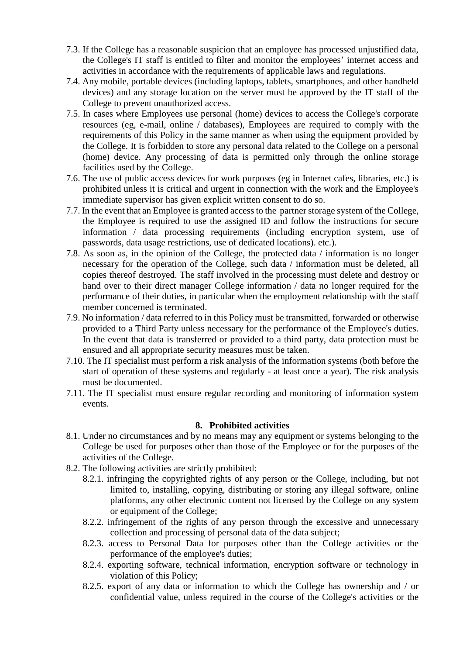- 7.3. If the College has a reasonable suspicion that an employee has processed unjustified data, the College's IT staff is entitled to filter and monitor the employees' internet access and activities in accordance with the requirements of applicable laws and regulations.
- 7.4. Any mobile, portable devices (including laptops, tablets, smartphones, and other handheld devices) and any storage location on the server must be approved by the IT staff of the College to prevent unauthorized access.
- 7.5. In cases where Employees use personal (home) devices to access the College's corporate resources (eg, e-mail, online / databases), Employees are required to comply with the requirements of this Policy in the same manner as when using the equipment provided by the College. It is forbidden to store any personal data related to the College on a personal (home) device. Any processing of data is permitted only through the online storage facilities used by the College.
- 7.6. The use of public access devices for work purposes (eg in Internet cafes, libraries, etc.) is prohibited unless it is critical and urgent in connection with the work and the Employee's immediate supervisor has given explicit written consent to do so.
- 7.7. In the event that an Employee is granted access to the partner storage system of the College, the Employee is required to use the assigned ID and follow the instructions for secure information / data processing requirements (including encryption system, use of passwords, data usage restrictions, use of dedicated locations). etc.).
- 7.8. As soon as, in the opinion of the College, the protected data / information is no longer necessary for the operation of the College, such data / information must be deleted, all copies thereof destroyed. The staff involved in the processing must delete and destroy or hand over to their direct manager College information / data no longer required for the performance of their duties, in particular when the employment relationship with the staff member concerned is terminated.
- 7.9. No information / data referred to in this Policy must be transmitted, forwarded or otherwise provided to a Third Party unless necessary for the performance of the Employee's duties. In the event that data is transferred or provided to a third party, data protection must be ensured and all appropriate security measures must be taken.
- 7.10. The IT specialist must perform a risk analysis of the information systems (both before the start of operation of these systems and regularly - at least once a year). The risk analysis must be documented.
- 7.11. The IT specialist must ensure regular recording and monitoring of information system events.

#### **8. Prohibited activities**

- 8.1. Under no circumstances and by no means may any equipment or systems belonging to the College be used for purposes other than those of the Employee or for the purposes of the activities of the College.
- 8.2. The following activities are strictly prohibited:
	- 8.2.1. infringing the copyrighted rights of any person or the College, including, but not limited to, installing, copying, distributing or storing any illegal software, online platforms, any other electronic content not licensed by the College on any system or equipment of the College;
	- 8.2.2. infringement of the rights of any person through the excessive and unnecessary collection and processing of personal data of the data subject;
	- 8.2.3. access to Personal Data for purposes other than the College activities or the performance of the employee's duties;
	- 8.2.4. exporting software, technical information, encryption software or technology in violation of this Policy;
	- 8.2.5. export of any data or information to which the College has ownership and / or confidential value, unless required in the course of the College's activities or the